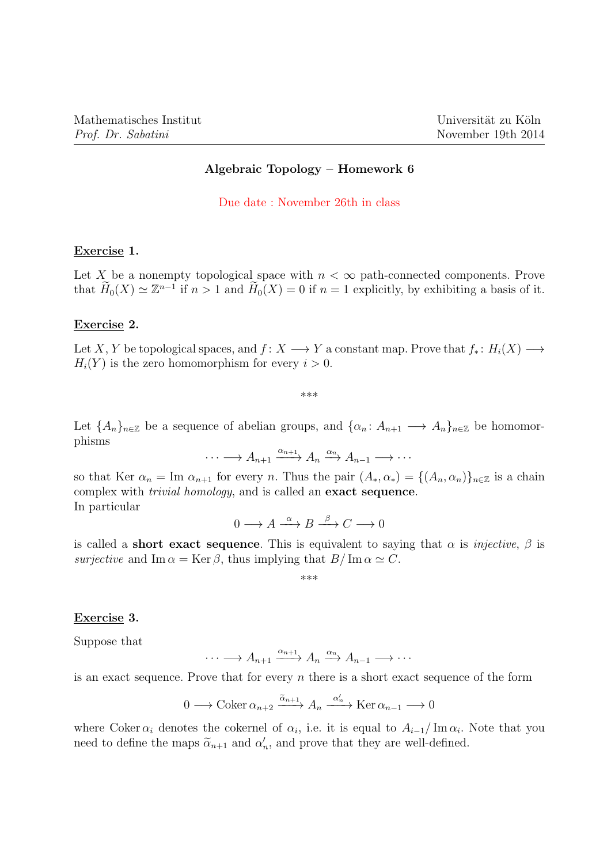## Algebraic Topology – Homework 6

Due date : November 26th in class

### Exercise 1.

Let X be a nonempty topological space with  $n < \infty$  path-connected components. Prove that  $\widetilde{H}_0(X) \simeq \mathbb{Z}^{n-1}$  if  $n > 1$  and  $\widetilde{H}_0(X) = 0$  if  $n = 1$  explicitly, by exhibiting a basis of it.

#### Exercise 2.

Let X, Y be topological spaces, and  $f: X \longrightarrow Y$  a constant map. Prove that  $f_* : H_i(X) \longrightarrow$  $H_i(Y)$  is the zero homomorphism for every  $i > 0$ .

\*\*\*

Let  ${A_n}_{n\in\mathbb{Z}}$  be a sequence of abelian groups, and  ${\{\alpha_n: A_{n+1}\longrightarrow A_n\}}_{n\in\mathbb{Z}}$  be homomorphisms

 $\cdots \longrightarrow A_{n+1} \xrightarrow{\alpha_{n+1}} A_n \xrightarrow{\alpha_n} A_{n-1} \longrightarrow \cdots$ 

so that Ker  $\alpha_n = \text{Im } \alpha_{n+1}$  for every n. Thus the pair  $(A_*, \alpha_*) = \{(A_n, \alpha_n)\}_{n \in \mathbb{Z}}$  is a chain complex with trivial homology, and is called an exact sequence. In particular

$$
0 \longrightarrow A \xrightarrow{\alpha} B \xrightarrow{\beta} C \longrightarrow 0
$$

is called a **short exact sequence**. This is equivalent to saying that  $\alpha$  is *injective*,  $\beta$  is surjective and Im  $\alpha = \text{Ker } \beta$ , thus implying that  $B/\text{Im }\alpha \simeq C$ .

\*\*\*

## Exercise 3.

Suppose that

$$
\cdots \longrightarrow A_{n+1} \xrightarrow{\alpha_{n+1}} A_n \xrightarrow{\alpha_n} A_{n-1} \longrightarrow \cdots
$$

is an exact sequence. Prove that for every  $n$  there is a short exact sequence of the form

$$
0 \longrightarrow \operatorname{Coker} \alpha_{n+2} \xrightarrow{\tilde{\alpha}_{n+1}} A_n \xrightarrow{\alpha'_n} \operatorname{Ker} \alpha_{n-1} \longrightarrow 0
$$

where Coker  $\alpha_i$  denotes the cokernel of  $\alpha_i$ , i.e. it is equal to  $A_{i-1}/\text{Im}\,\alpha_i$ . Note that you need to define the maps  $\tilde{\alpha}_{n+1}$  and  $\alpha'_n$ , and prove that they are well-defined.